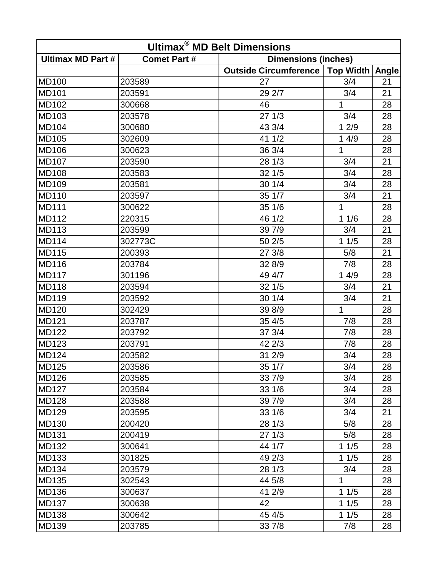| <b>Ultimax<sup>®</sup> MD Belt Dimensions</b> |                     |                              |                   |    |  |  |
|-----------------------------------------------|---------------------|------------------------------|-------------------|----|--|--|
| <b>Ultimax MD Part #</b>                      | <b>Comet Part #</b> | <b>Dimensions (inches)</b>   |                   |    |  |  |
|                                               |                     | <b>Outside Circumference</b> | Top Width   Angle |    |  |  |
| <b>MD100</b>                                  | 203589              | 27                           | 3/4               | 21 |  |  |
| <b>MD101</b>                                  | 203591              | 29 2/7                       | 3/4               | 21 |  |  |
| <b>MD102</b>                                  | 300668              | 46                           | $\mathbf{1}$      | 28 |  |  |
| MD103                                         | 203578              | 271/3                        | 3/4               | 28 |  |  |
| <b>MD104</b>                                  | 300680              | 43 3/4                       | 12/9              | 28 |  |  |
| <b>MD105</b>                                  | 302609              | 41 1/2                       | 14/9              | 28 |  |  |
| <b>MD106</b>                                  | 300623              | 36 3/4                       | 1                 | 28 |  |  |
| <b>MD107</b>                                  | 203590              | 28 1/3                       | 3/4               | 21 |  |  |
| <b>MD108</b>                                  | 203583              | 32 1/5                       | 3/4               | 28 |  |  |
| <b>MD109</b>                                  | 203581              | 30 1/4                       | 3/4               | 28 |  |  |
| <b>MD110</b>                                  | 203597              | 35 1/7                       | 3/4               | 21 |  |  |
| <b>MD111</b>                                  | 300622              | 35 1/6                       | 1                 | 28 |  |  |
| <b>MD112</b>                                  | 220315              | 46 1/2                       | 11/6              | 28 |  |  |
| <b>MD113</b>                                  | 203599              | 39 7/9                       | 3/4               | 21 |  |  |
| <b>MD114</b>                                  | 302773C             | 50 2/5                       | 11/5              | 28 |  |  |
| <b>MD115</b>                                  | 200393              | 27 3/8                       | 5/8               | 21 |  |  |
| <b>MD116</b>                                  | 203784              | 32 8/9                       | 7/8               | 28 |  |  |
| <b>MD117</b>                                  | 301196              | 49 4/7                       | 14/9              | 28 |  |  |
| <b>MD118</b>                                  | 203594              | 32 1/5                       | 3/4               | 21 |  |  |
| <b>MD119</b>                                  | 203592              | 30 1/4                       | 3/4               | 21 |  |  |
| <b>MD120</b>                                  | 302429              | 39 8/9                       | 1                 | 28 |  |  |
| <b>MD121</b>                                  | 203787              | 35 4/5                       | 7/8               | 28 |  |  |
| <b>MD122</b>                                  | 203792              | 37 3/4                       | 7/8               | 28 |  |  |
| <b>MD123</b>                                  | 203791              | 42 2/3                       | 7/8               | 28 |  |  |
| <b>MD124</b>                                  | 203582              | 31 2/9                       | 3/4               | 28 |  |  |
| $\overline{MD125}$                            | 203586              | 35 1/7                       | 3/4               | 28 |  |  |
| <b>MD126</b>                                  | 203585              | 33 7/9                       | 3/4               | 28 |  |  |
| <b>MD127</b>                                  | 203584              | 331/6                        | 3/4               | 28 |  |  |
| <b>MD128</b>                                  | 203588              | 39 7/9                       | 3/4               | 28 |  |  |
| <b>MD129</b>                                  | 203595              | 331/6                        | 3/4               | 21 |  |  |
| <b>MD130</b>                                  | 200420              | 281/3                        | 5/8               | 28 |  |  |
| <b>MD131</b>                                  | 200419              | 271/3                        | 5/8               | 28 |  |  |
| <b>MD132</b>                                  | 300641              | 44 1/7                       | 11/5              | 28 |  |  |
| <b>MD133</b>                                  | 301825              | 49 2/3                       | 11/5              | 28 |  |  |
| <b>MD134</b>                                  | 203579              | 28 1/3                       | 3/4               | 28 |  |  |
| <b>MD135</b>                                  | 302543              | 44 5/8                       | 1                 | 28 |  |  |
| <b>MD136</b>                                  | 300637              | 41 2/9                       | 11/5              | 28 |  |  |
| <b>MD137</b>                                  | 300638              | 42                           | 11/5              | 28 |  |  |
| <b>MD138</b>                                  | 300642              | 45 4/5                       | 11/5              | 28 |  |  |
| <b>MD139</b>                                  | 203785              | 33 7/8                       | 7/8               | 28 |  |  |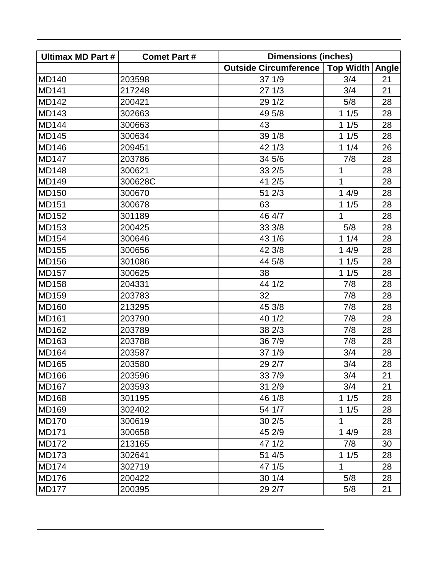| <b>Ultimax MD Part #</b> | <b>Comet Part #</b> | <b>Dimensions (inches)</b>                |              |    |
|--------------------------|---------------------|-------------------------------------------|--------------|----|
|                          |                     | Outside Circumference   Top Width   Angle |              |    |
| <b>MD140</b>             | 203598              | 371/9                                     | 3/4          | 21 |
| <b>MD141</b>             | 217248              | 271/3                                     | 3/4          | 21 |
| <b>MD142</b>             | 200421              | 29 1/2                                    | 5/8          | 28 |
| <b>MD143</b>             | 302663              | 49 5/8                                    | 11/5         | 28 |
| <b>MD144</b>             | 300663              | 43                                        | 11/5         | 28 |
| <b>MD145</b>             | 300634              | 39 1/8                                    | 11/5         | 28 |
| <b>MD146</b>             | 209451              | 42 1/3                                    | 11/4         | 26 |
| <b>MD147</b>             | 203786              | 34 5/6                                    | 7/8          | 28 |
| <b>MD148</b>             | 300621              | 33 2/5                                    | 1            | 28 |
| <b>MD149</b>             | 300628C             | 41 2/5                                    | $\mathbf{1}$ | 28 |
| <b>MD150</b>             | 300670              | 51 2/3                                    | 14/9         | 28 |
| <b>MD151</b>             | 300678              | 63                                        | 11/5         | 28 |
| <b>MD152</b>             | 301189              | 46 4/7                                    | 1            | 28 |
| <b>MD153</b>             | 200425              | 33 3/8                                    | 5/8          | 28 |
| <b>MD154</b>             | 300646              | 43 1/6                                    | 11/4         | 28 |
| <b>MD155</b>             | 300656              | 42 3/8                                    | 14/9         | 28 |
| <b>MD156</b>             | 301086              | 44 5/8                                    | 11/5         | 28 |
| <b>MD157</b>             | 300625              | 38                                        | $11/5$       | 28 |
| <b>MD158</b>             | 204331              | 44 1/2                                    | 7/8          | 28 |
| <b>MD159</b>             | 203783              | 32                                        | 7/8          | 28 |
| <b>MD160</b>             | 213295              | 45 3/8                                    | 7/8          | 28 |
| <b>MD161</b>             | 203790              | 40 1/2                                    | 7/8          | 28 |
| <b>MD162</b>             | 203789              | 38 2/3                                    | 7/8          | 28 |
| MD163                    | 203788              | 36 7/9                                    | 7/8          | 28 |
| <b>MD164</b>             | 203587              | 371/9                                     | 3/4          | 28 |
| <b>MD165</b>             | 203580              | 29 2/7                                    | 3/4          | 28 |
| <b>MD166</b>             | 203596              | 33 7/9                                    | 3/4          | 21 |
| <b>MD167</b>             | 203593              | 31 2/9                                    | 3/4          | 21 |
| <b>MD168</b>             | 301195              | 46 1/8                                    | 11/5         | 28 |
| <b>MD169</b>             | 302402              | 54 1/7                                    | 11/5         | 28 |
| <b>MD170</b>             | 300619              | 30 2/5                                    | 1            | 28 |
| <b>MD171</b>             | 300658              | 45 2/9                                    | 14/9         | 28 |
| <b>MD172</b>             | 213165              | 47 1/2                                    | 7/8          | 30 |
| <b>MD173</b>             | 302641              | 51 4/5                                    | 11/5         | 28 |
| <b>MD174</b>             | 302719              | 47 1/5                                    | 1            | 28 |
| <b>MD176</b>             | 200422              | 301/4                                     | 5/8          | 28 |
| <b>MD177</b>             | 200395              | 29 2/7                                    | 5/8          | 21 |